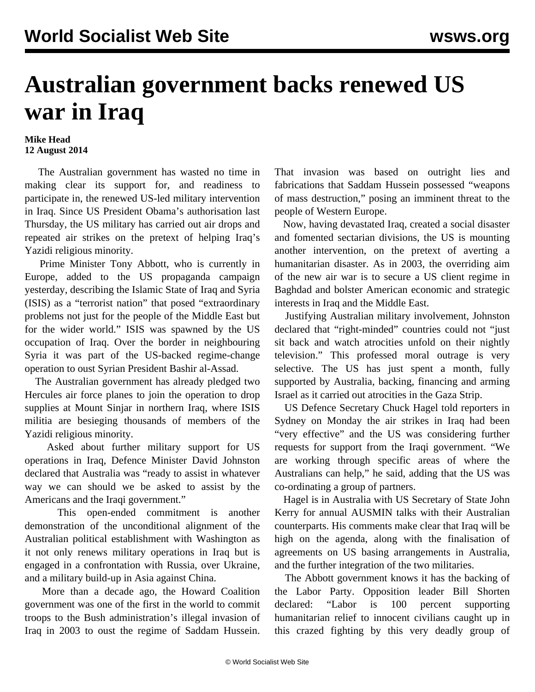## **Australian government backs renewed US war in Iraq**

## **Mike Head 12 August 2014**

 The Australian government has wasted no time in making clear its support for, and readiness to participate in, the renewed US-led military intervention in Iraq. Since US President Obama's authorisation last Thursday, the US military has carried out air drops and repeated air strikes on the pretext of helping Iraq's Yazidi religious minority.

 Prime Minister Tony Abbott, who is currently in Europe, added to the US propaganda campaign yesterday, describing the Islamic State of Iraq and Syria (ISIS) as a "terrorist nation" that posed "extraordinary problems not just for the people of the Middle East but for the wider world." ISIS was spawned by the US occupation of Iraq. Over the border in neighbouring Syria it was part of the US-backed regime-change operation to oust Syrian President Bashir al-Assad.

 The Australian government has already pledged two Hercules air force planes to join the operation to drop supplies at Mount Sinjar in northern Iraq, where ISIS militia are besieging thousands of members of the Yazidi religious minority.

 Asked about further military support for US operations in Iraq, Defence Minister David Johnston declared that Australia was "ready to assist in whatever way we can should we be asked to assist by the Americans and the Iraqi government."

 This open-ended commitment is another demonstration of the unconditional alignment of the Australian political establishment with Washington as it not only renews military operations in Iraq but is engaged in a confrontation with Russia, over Ukraine, and a military build-up in Asia against China.

 More than a decade ago, the Howard Coalition government was one of the first in the world to commit troops to the Bush administration's illegal invasion of Iraq in 2003 to oust the regime of Saddam Hussein.

That invasion was based on outright lies and fabrications that Saddam Hussein possessed "weapons of mass destruction," posing an imminent threat to the people of Western Europe.

 Now, having devastated Iraq, created a social disaster and fomented sectarian divisions, the US is mounting another intervention, on the pretext of averting a humanitarian disaster. As in 2003, the overriding aim of the new air war is to secure a US client regime in Baghdad and bolster American economic and strategic interests in Iraq and the Middle East.

 Justifying Australian military involvement, Johnston declared that "right-minded" countries could not "just sit back and watch atrocities unfold on their nightly television." This professed moral outrage is very selective. The US has just spent a month, fully supported by Australia, backing, financing and arming Israel as it carried out atrocities in the Gaza Strip.

 US Defence Secretary Chuck Hagel told reporters in Sydney on Monday the air strikes in Iraq had been "very effective" and the US was considering further requests for support from the Iraqi government. "We are working through specific areas of where the Australians can help," he said, adding that the US was co-ordinating a group of partners.

 Hagel is in Australia with US Secretary of State John Kerry for annual AUSMIN talks with their Australian counterparts. His comments make clear that Iraq will be high on the agenda, along with the finalisation of agreements on US basing arrangements in Australia, and the further integration of the two militaries.

 The Abbott government knows it has the backing of the Labor Party. Opposition leader Bill Shorten declared: "Labor is 100 percent supporting humanitarian relief to innocent civilians caught up in this crazed fighting by this very deadly group of